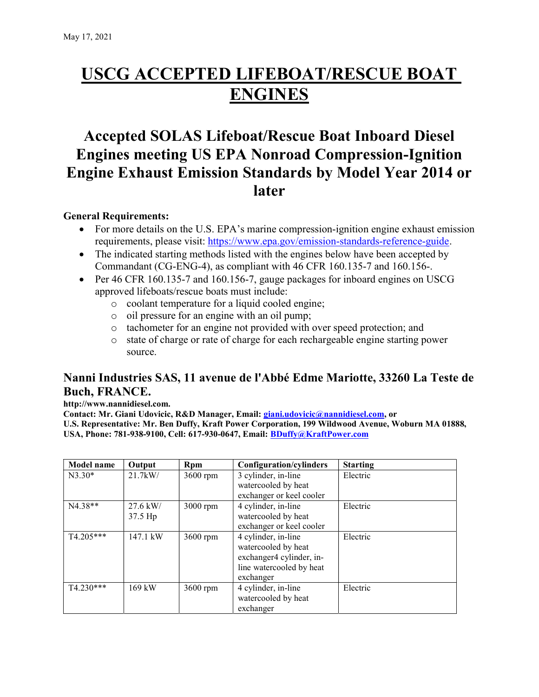# USCG ACCEPTED LIFEBOAT/RESCUE BOAT **ENGINES**

## Accepted SOLAS Lifeboat/Rescue Boat Inboard Diesel Engines meeting US EPA Nonroad Compression-Ignition Engine Exhaust Emission Standards by Model Year 2014 or later

### General Requirements:

- For more details on the U.S. EPA's marine compression-ignition engine exhaust emission requirements, please visit: https://www.epa.gov/emission-standards-reference-guide.
- The indicated starting methods listed with the engines below have been accepted by Commandant (CG-ENG-4), as compliant with 46 CFR 160.135-7 and 160.156-.
- Per 46 CFR 160.135-7 and 160.156-7, gauge packages for inboard engines on USCG approved lifeboats/rescue boats must include:
	- o coolant temperature for a liquid cooled engine;
	- o oil pressure for an engine with an oil pump;
	- o tachometer for an engine not provided with over speed protection; and
	- o state of charge or rate of charge for each rechargeable engine starting power source.

## Nanni Industries SAS, 11 avenue de l'Abbé Edme Mariotte, 33260 La Teste de Buch, FRANCE.

#### http://www.nannidiesel.com.

Contact: Mr. Giani Udovicic, R&D Manager, Email: giani.udovicic@nannidiesel.com, or U.S. Representative: Mr. Ben Duffy, Kraft Power Corporation, 199 Wildwood Avenue, Woburn MA 01888, USA, Phone: 781-938-9100, Cell: 617-930-0647, Email: BDuffy@KraftPower.com

| <b>Model name</b> | Output            | Rpm      | Configuration/cylinders  | <b>Starting</b> |
|-------------------|-------------------|----------|--------------------------|-----------------|
| $N3.30*$          | $21.7$ kW/        | 3600 rpm | 3 cylinder, in-line      | Electric        |
|                   |                   |          | watercooled by heat      |                 |
|                   |                   |          | exchanger or keel cooler |                 |
| N4.38**           | $27.6 \text{ kW}$ | 3000 rpm | 4 cylinder, in-line      | Electric        |
|                   | $37.5$ Hp         |          | watercooled by heat      |                 |
|                   |                   |          | exchanger or keel cooler |                 |
| $T4.205***$       | 147.1 kW          | 3600 rpm | 4 cylinder, in-line      | Electric        |
|                   |                   |          | watercooled by heat      |                 |
|                   |                   |          | exchanger4 cylinder, in- |                 |
|                   |                   |          | line watercooled by heat |                 |
|                   |                   |          | exchanger                |                 |
| T4.230***         | $169$ kW          | 3600 rpm | 4 cylinder, in-line      | Electric        |
|                   |                   |          | watercooled by heat      |                 |
|                   |                   |          | exchanger                |                 |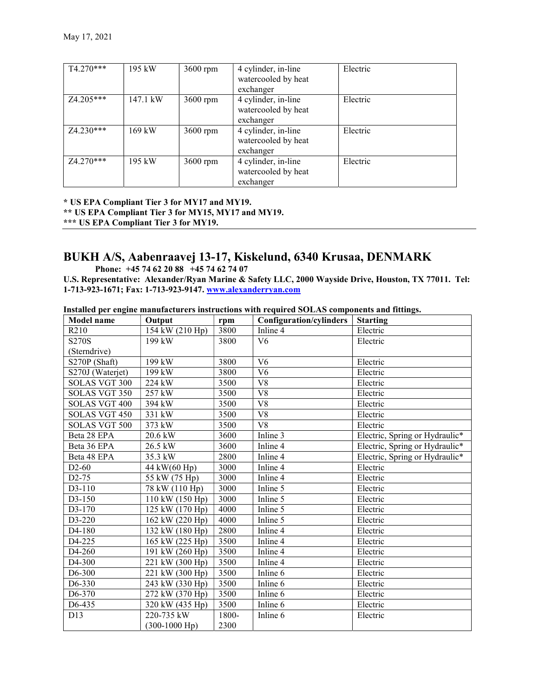| T4.270***   | 195 kW   | $3600$ rpm | 4 cylinder, in-line<br>watercooled by heat<br>exchanger | Electric |
|-------------|----------|------------|---------------------------------------------------------|----------|
| $Z4.205***$ | 147.1 kW | 3600 rpm   | 4 cylinder, in-line<br>watercooled by heat<br>exchanger | Electric |
| $Z4.230***$ | 169 kW   | 3600 rpm   | 4 cylinder, in-line<br>watercooled by heat<br>exchanger | Electric |
| $Z4.270***$ | 195 kW   | 3600 rpm   | 4 cylinder, in-line<br>watercooled by heat<br>exchanger | Electric |

\* US EPA Compliant Tier 3 for MY17 and MY19. \*\* US EPA Compliant Tier 3 for MY15, MY17 and MY19. \*\*\* US EPA Compliant Tier 3 for MY19.

## BUKH A/S, Aabenraavej 13-17, Kiskelund, 6340 Krusaa, DENMARK

Phone: +45 74 62 20 88 +45 74 62 74 07

U.S. Representative: Alexander/Ryan Marine & Safety LLC, 2000 Wayside Drive, Houston, TX 77011. Tel: 1-713-923-1671; Fax: 1-713-923-9147. www.alexanderryan.com

|  |  | Installed per engine manufacturers instructions with required SOLAS components and fittings. |  |  |  |  |  |  |
|--|--|----------------------------------------------------------------------------------------------|--|--|--|--|--|--|
|--|--|----------------------------------------------------------------------------------------------|--|--|--|--|--|--|

| <b>Model name</b>    | Output                     | rpm   | <b>Configuration/cylinders</b> | <b>Starting</b>                |
|----------------------|----------------------------|-------|--------------------------------|--------------------------------|
| R210                 | 154 kW (210 Hp)            | 3800  | Inline 4                       | Electric                       |
| S270S                | 199 kW                     | 3800  | V <sub>6</sub>                 | Electric                       |
| (Sterndrive)         |                            |       |                                |                                |
| S270P (Shaft)        | 199 kW                     | 3800  | V <sub>6</sub>                 | Electric                       |
| S270J (Waterjet)     | 199 kW                     | 3800  | V <sub>6</sub>                 | Electric                       |
| <b>SOLAS VGT 300</b> | 224 kW                     | 3500  | V8                             | Electric                       |
| SOLAS VGT 350        | 257 kW                     | 3500  | V <sub>8</sub>                 | Electric                       |
| <b>SOLAS VGT 400</b> | 394 kW                     | 3500  | ${\rm V}8$                     | Electric                       |
| <b>SOLAS VGT 450</b> | 331 kW                     | 3500  | V <sub>8</sub>                 | Electric                       |
| SOLAS VGT 500        | 373 kW                     | 3500  | V <sub>8</sub>                 | Electric                       |
| Beta 28 EPA          | 20.6 kW                    | 3600  | Inline 3                       | Electric, Spring or Hydraulic* |
| Beta 36 EPA          | 26.5 kW                    | 3600  | Inline 4                       | Electric, Spring or Hydraulic* |
| Beta 48 EPA          | 35.3 kW                    | 2800  | Inline 4                       | Electric, Spring or Hydraulic* |
| $D2-60$              | 44 kW(60 Hp)               | 3000  | Inline 4                       | Electric                       |
| $D2-75$              | $\overline{55}$ kW (75 Hp) | 3000  | Inline 4                       | Electric                       |
| D3-110               | 78 kW (110 Hp)             | 3000  | Inline 5                       | Electric                       |
| D3-150               | 110 kW (150 Hp)            | 3000  | Inline 5                       | Electric                       |
| D3-170               | 125 kW (170 Hp)            | 4000  | Inline 5                       | Electric                       |
| D3-220               | 162 kW (220 Hp)            | 4000  | Inline 5                       | Electric                       |
| D4-180               | 132 kW (180 Hp)            | 2800  | Inline 4                       | Electric                       |
| D4-225               | 165 kW (225 Hp)            | 3500  | Inline 4                       | Electric                       |
| D4-260               | 191 kW (260 Hp)            | 3500  | Inline 4                       | Electric                       |
| D <sub>4</sub> -300  | 221 kW (300 Hp)            | 3500  | Inline 4                       | Electric                       |
| D <sub>6</sub> -300  | 221 kW (300 Hp)            | 3500  | Inline 6                       | Electric                       |
| D6-330               | 243 kW (330 Hp)            | 3500  | Inline 6                       | Electric                       |
| D6-370               | 272 kW (370 Hp)            | 3500  | Inline 6                       | Electric                       |
| D6-435               | 320 kW (435 Hp)            | 3500  | Inline 6                       | Electric                       |
| D13                  | 220-735 kW                 | 1800- | Inline 6                       | Electric                       |
|                      | $(300-1000$ Hp)            | 2300  |                                |                                |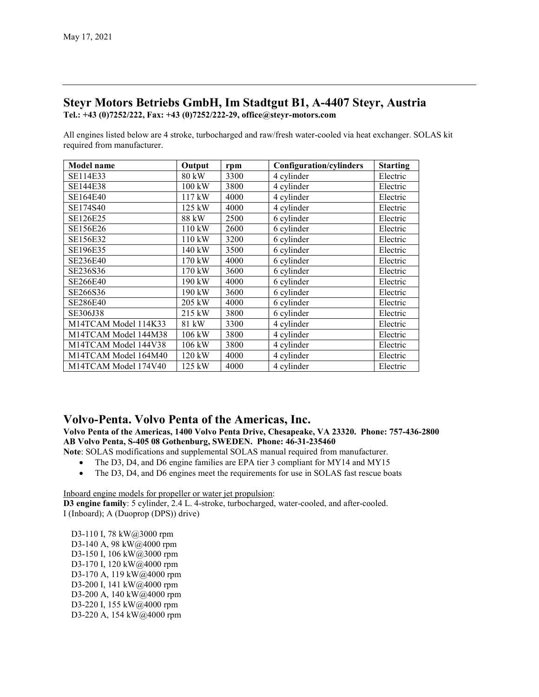#### Steyr Motors Betriebs GmbH, Im Stadtgut B1, A-4407 Steyr, Austria Tel.: +43 (0)7252/222, Fax: +43 (0)7252/222-29, office@steyr-motors.com

All engines listed below are 4 stroke, turbocharged and raw/fresh water-cooled via heat exchanger. SOLAS kit required from manufacturer.

| <b>Model name</b>    | Output           | rpm  | <b>Configuration/cylinders</b> | <b>Starting</b> |
|----------------------|------------------|------|--------------------------------|-----------------|
| SE114E33             | 80 kW            | 3300 | 4 cylinder                     | Electric        |
| SE144E38             | $100 \text{ kW}$ | 3800 | 4 cylinder                     | Electric        |
| SE164E40             | 117 kW           | 4000 | 4 cylinder                     | Electric        |
| SE174S40             | $125$ kW         | 4000 | 4 cylinder                     | Electric        |
| SE126E25             | 88 kW            | 2500 | 6 cylinder                     | Electric        |
| SE156E26             | 110 kW           | 2600 | 6 cylinder                     | Electric        |
| SE156E32             | $110$ kW         | 3200 | 6 cylinder                     | Electric        |
| SE196E35             | 140 kW           | 3500 | 6 cylinder                     | Electric        |
| SE236E40             | 170 kW           | 4000 | 6 cylinder                     | Electric        |
| SE236S36             | 170 kW           | 3600 | 6 cylinder                     | Electric        |
| <b>SE266E40</b>      | 190 kW           | 4000 | 6 cylinder                     | Electric        |
| SE266S36             | 190 kW           | 3600 | 6 cylinder                     | Electric        |
| SE286E40             | 205 kW           | 4000 | 6 cylinder                     | Electric        |
| SE306J38             | 215 kW           | 3800 | 6 cylinder                     | Electric        |
| M14TCAM Model 114K33 | 81 kW            | 3300 | 4 cylinder                     | Electric        |
| M14TCAM Model 144M38 | 106 kW           | 3800 | 4 cylinder                     | Electric        |
| M14TCAM Model 144V38 | 106 kW           | 3800 | 4 cylinder                     | Electric        |
| M14TCAM Model 164M40 | 120 kW           | 4000 | 4 cylinder                     | Electric        |
| M14TCAM Model 174V40 | 125 kW           | 4000 | 4 cylinder                     | Electric        |

### Volvo-Penta. Volvo Penta of the Americas, Inc.

Volvo Penta of the Americas, 1400 Volvo Penta Drive, Chesapeake, VA 23320. Phone: 757-436-2800 AB Volvo Penta, S-405 08 Gothenburg, SWEDEN. Phone: 46-31-235460

Note: SOLAS modifications and supplemental SOLAS manual required from manufacturer.

- The D3, D4, and D6 engine families are EPA tier 3 compliant for MY14 and MY15
- The D3, D4, and D6 engines meet the requirements for use in SOLAS fast rescue boats

Inboard engine models for propeller or water jet propulsion:

D3 engine family: 5 cylinder, 2.4 L. 4-stroke, turbocharged, water-cooled, and after-cooled. I (Inboard); A (Duoprop (DPS)) drive)

D3-110 I, 78 kW@3000 rpm D3-140 A, 98 kW@4000 rpm D3-150 I, 106 kW@3000 rpm D3-170 I, 120 kW@4000 rpm D3-170 A, 119 kW@4000 rpm D3-200 I, 141 kW@4000 rpm D3-200 A, 140 kW@4000 rpm D3-220 I, 155 kW@4000 rpm D3-220 A, 154 kW@4000 rpm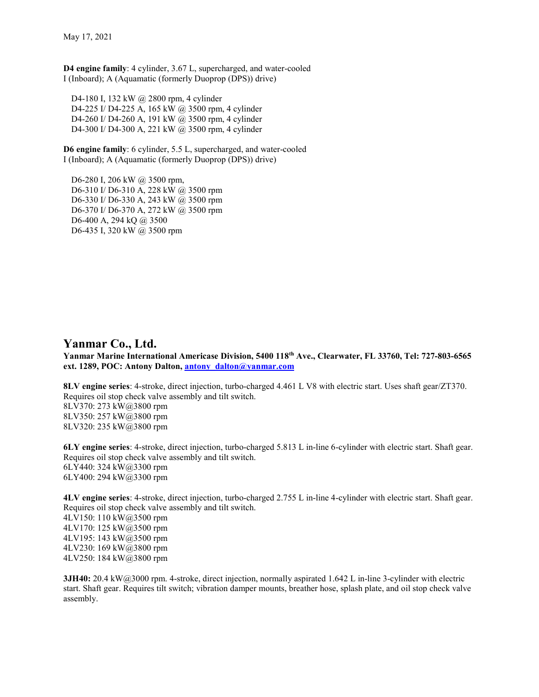D4 engine family: 4 cylinder, 3.67 L, supercharged, and water-cooled I (Inboard); A (Aquamatic (formerly Duoprop (DPS)) drive)

D4-180 I, 132 kW @ 2800 rpm, 4 cylinder D4-225 I/ D4-225 A, 165 kW @ 3500 rpm, 4 cylinder D4-260 I/ D4-260 A, 191 kW @ 3500 rpm, 4 cylinder D4-300 I/ D4-300 A, 221 kW @ 3500 rpm, 4 cylinder

D6 engine family: 6 cylinder, 5.5 L, supercharged, and water-cooled I (Inboard); A (Aquamatic (formerly Duoprop (DPS)) drive)

D6-280 I, 206 kW @ 3500 rpm, D6-310 I/ D6-310 A, 228 kW @ 3500 rpm D6-330 I/ D6-330 A, 243 kW @ 3500 rpm D6-370 I/ D6-370 A, 272 kW @ 3500 rpm D6-400 A, 294 kQ @ 3500 D6-435 I, 320 kW @ 3500 rpm

#### Yanmar Co., Ltd.

Yanmar Marine International Americase Division, 5400 118<sup>th</sup> Ave., Clearwater, FL 33760, Tel: 727-803-6565 ext. 1289, POC: Antony Dalton, antony dalton@yanmar.com

8LV engine series: 4-stroke, direct injection, turbo-charged 4.461 L V8 with electric start. Uses shaft gear/ZT370. Requires oil stop check valve assembly and tilt switch. 8LV370: 273 kW@3800 rpm 8LV350: 257 kW@3800 rpm 8LV320: 235 kW@3800 rpm

6LY engine series: 4-stroke, direct injection, turbo-charged 5.813 L in-line 6-cylinder with electric start. Shaft gear. Requires oil stop check valve assembly and tilt switch. 6LY440: 324 kW@3300 rpm 6LY400: 294 kW@3300 rpm

4LV engine series: 4-stroke, direct injection, turbo-charged 2.755 L in-line 4-cylinder with electric start. Shaft gear. Requires oil stop check valve assembly and tilt switch. 4LV150: 110 kW@3500 rpm 4LV170: 125 kW@3500 rpm 4LV195: 143 kW@3500 rpm 4LV230: 169 kW@3800 rpm 4LV250: 184 kW@3800 rpm

3JH40: 20.4 kW@3000 rpm. 4-stroke, direct injection, normally aspirated 1.642 L in-line 3-cylinder with electric start. Shaft gear. Requires tilt switch; vibration damper mounts, breather hose, splash plate, and oil stop check valve assembly.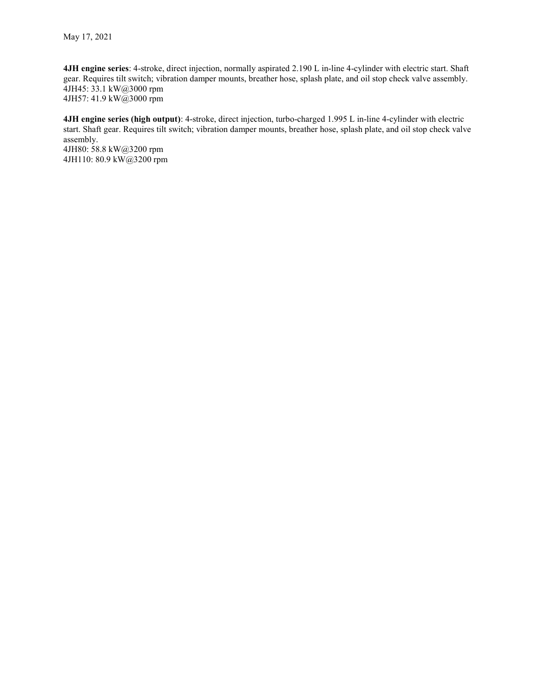4JH engine series: 4-stroke, direct injection, normally aspirated 2.190 L in-line 4-cylinder with electric start. Shaft gear. Requires tilt switch; vibration damper mounts, breather hose, splash plate, and oil stop check valve assembly. 4JH45: 33.1 kW@3000 rpm 4JH57: 41.9 kW@3000 rpm

4JH engine series (high output): 4-stroke, direct injection, turbo-charged 1.995 L in-line 4-cylinder with electric start. Shaft gear. Requires tilt switch; vibration damper mounts, breather hose, splash plate, and oil stop check valve assembly. 4JH80: 58.8 kW@3200 rpm 4JH110: 80.9 kW@3200 rpm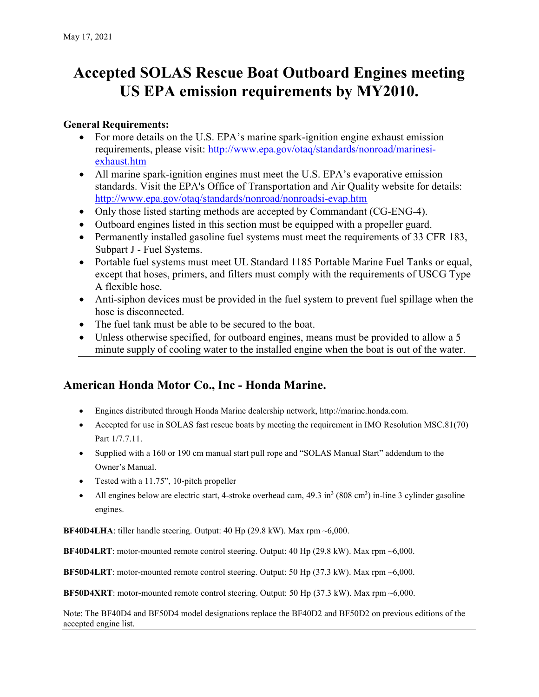# Accepted SOLAS Rescue Boat Outboard Engines meeting US EPA emission requirements by MY2010.

## General Requirements:

- For more details on the U.S. EPA's marine spark-ignition engine exhaust emission requirements, please visit: http://www.epa.gov/otaq/standards/nonroad/marinesiexhaust.htm
- All marine spark-ignition engines must meet the U.S. EPA's evaporative emission standards. Visit the EPA's Office of Transportation and Air Quality website for details: http://www.epa.gov/otaq/standards/nonroad/nonroadsi-evap.htm
- Only those listed starting methods are accepted by Commandant (CG-ENG-4).
- Outboard engines listed in this section must be equipped with a propeller guard.
- Permanently installed gasoline fuel systems must meet the requirements of 33 CFR 183, Subpart J - Fuel Systems.
- Portable fuel systems must meet UL Standard 1185 Portable Marine Fuel Tanks or equal, except that hoses, primers, and filters must comply with the requirements of USCG Type A flexible hose.
- Anti-siphon devices must be provided in the fuel system to prevent fuel spillage when the hose is disconnected.
- The fuel tank must be able to be secured to the boat.
- Unless otherwise specified, for outboard engines, means must be provided to allow a 5 minute supply of cooling water to the installed engine when the boat is out of the water.

## American Honda Motor Co., Inc - Honda Marine.

- Engines distributed through Honda Marine dealership network, http://marine.honda.com.
- Accepted for use in SOLAS fast rescue boats by meeting the requirement in IMO Resolution MSC.81(70) Part 1/7.7.11.
- Supplied with a 160 or 190 cm manual start pull rope and "SOLAS Manual Start" addendum to the Owner's Manual.
- Tested with a 11.75", 10-pitch propeller
- All engines below are electric start, 4-stroke overhead cam,  $49.3 \text{ in}^3 (808 \text{ cm}^3)$  in-line 3 cylinder gasoline engines.

**BF40D4LHA:** tiller handle steering. Output:  $40$  Hp (29.8 kW). Max rpm  $\sim 6,000$ .

BF40D4LRT: motor-mounted remote control steering. Output: 40 Hp (29.8 kW). Max rpm ~6,000.

BF50D4LRT: motor-mounted remote control steering. Output: 50 Hp (37.3 kW). Max rpm ~6,000.

BF50D4XRT: motor-mounted remote control steering. Output: 50 Hp (37.3 kW). Max rpm ~6,000.

Note: The BF40D4 and BF50D4 model designations replace the BF40D2 and BF50D2 on previous editions of the accepted engine list.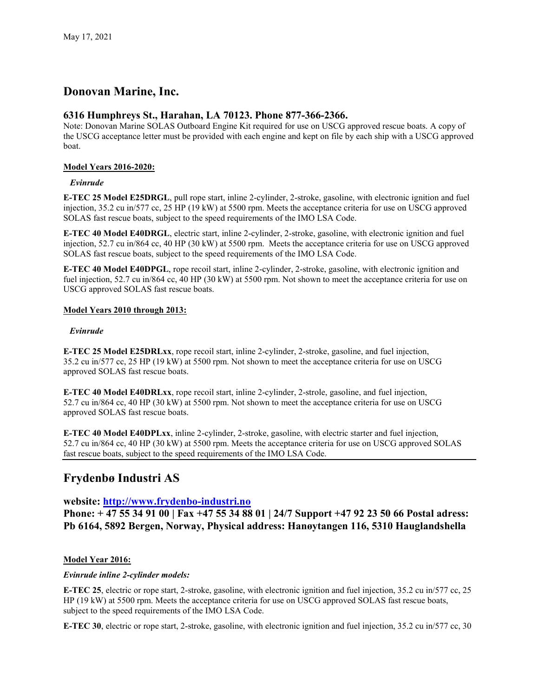## Donovan Marine, Inc.

#### 6316 Humphreys St., Harahan, LA 70123. Phone 877-366-2366.

Note: Donovan Marine SOLAS Outboard Engine Kit required for use on USCG approved rescue boats. A copy of the USCG acceptance letter must be provided with each engine and kept on file by each ship with a USCG approved boat.

#### Model Years 2016-2020:

#### Evinrude

E-TEC 25 Model E25DRGL, pull rope start, inline 2-cylinder, 2-stroke, gasoline, with electronic ignition and fuel injection, 35.2 cu in/577 cc, 25 HP (19 kW) at 5500 rpm. Meets the acceptance criteria for use on USCG approved SOLAS fast rescue boats, subject to the speed requirements of the IMO LSA Code.

E-TEC 40 Model E40DRGL, electric start, inline 2-cylinder, 2-stroke, gasoline, with electronic ignition and fuel injection, 52.7 cu in/864 cc, 40 HP (30 kW) at 5500 rpm. Meets the acceptance criteria for use on USCG approved SOLAS fast rescue boats, subject to the speed requirements of the IMO LSA Code.

E-TEC 40 Model E40DPGL, rope recoil start, inline 2-cylinder, 2-stroke, gasoline, with electronic ignition and fuel injection, 52.7 cu in/864 cc, 40 HP (30 kW) at 5500 rpm. Not shown to meet the acceptance criteria for use on USCG approved SOLAS fast rescue boats.

#### Model Years 2010 through 2013:

#### Evinrude

E-TEC 25 Model E25DRLxx, rope recoil start, inline 2-cylinder, 2-stroke, gasoline, and fuel injection, 35.2 cu in/577 cc, 25 HP (19 kW) at 5500 rpm. Not shown to meet the acceptance criteria for use on USCG approved SOLAS fast rescue boats.

E-TEC 40 Model E40DRLxx, rope recoil start, inline 2-cylinder, 2-strole, gasoline, and fuel injection, 52.7 cu in/864 cc, 40 HP (30 kW) at 5500 rpm. Not shown to meet the acceptance criteria for use on USCG approved SOLAS fast rescue boats.

E-TEC 40 Model E40DPLxx, inline 2-cylinder, 2-stroke, gasoline, with electric starter and fuel injection, 52.7 cu in/864 cc, 40 HP (30 kW) at 5500 rpm. Meets the acceptance criteria for use on USCG approved SOLAS fast rescue boats, subject to the speed requirements of the IMO LSA Code.

## Frydenbø Industri AS

website: http://www.frydenbo-industri.no

Phone: + 47 55 34 91 00 | Fax +47 55 34 88 01 | 24/7 Support +47 92 23 50 66 Postal adress: Pb 6164, 5892 Bergen, Norway, Physical address: Hanøytangen 116, 5310 Hauglandshella

#### Model Year 2016:

#### Evinrude inline 2-cylinder models:

E-TEC 25, electric or rope start, 2-stroke, gasoline, with electronic ignition and fuel injection, 35.2 cu in/577 cc, 25 HP (19 kW) at 5500 rpm. Meets the acceptance criteria for use on USCG approved SOLAS fast rescue boats, subject to the speed requirements of the IMO LSA Code.

E-TEC 30, electric or rope start, 2-stroke, gasoline, with electronic ignition and fuel injection, 35.2 cu in/577 cc, 30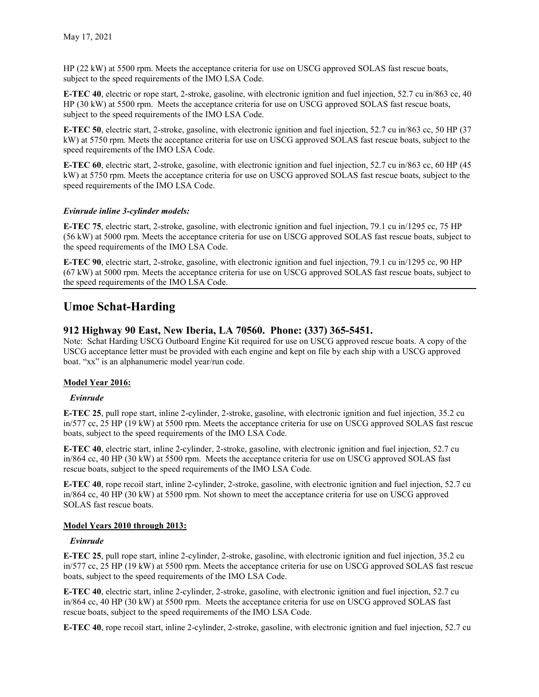HP (22 kW) at 5500 rpm. Meets the acceptance criteria for use on USCG approved SOLAS fast rescue boats, subject to the speed requirements of the IMO LSA Code.

E-TEC 40, electric or rope start, 2-stroke, gasoline, with electronic ignition and fuel injection, 52.7 cu in/863 cc, 40 HP (30 kW) at 5500 rpm. Meets the acceptance criteria for use on USCG approved SOLAS fast rescue boats, subject to the speed requirements of the IMO LSA Code.

E-TEC 50, electric start, 2-stroke, gasoline, with electronic ignition and fuel injection, 52.7 cu in/863 cc, 50 HP (37 kW) at 5750 rpm. Meets the acceptance criteria for use on USCG approved SOLAS fast rescue boats, subject to the speed requirements of the IMO LSA Code.

E-TEC 60, electric start, 2-stroke, gasoline, with electronic ignition and fuel injection, 52.7 cu in/863 cc, 60 HP (45 kW) at 5750 rpm. Meets the acceptance criteria for use on USCG approved SOLAS fast rescue boats, subject to the speed requirements of the IMO LSA Code.

#### Evinrude inline 3-cylinder models:

E-TEC 75, electric start, 2-stroke, gasoline, with electronic ignition and fuel injection, 79.1 cu in/1295 cc, 75 HP (56 kW) at 5000 rpm. Meets the acceptance criteria for use on USCG approved SOLAS fast rescue boats, subject to the speed requirements of the IMO LSA Code.

E-TEC 90, electric start, 2-stroke, gasoline, with electronic ignition and fuel injection, 79.1 cu in/1295 cc, 90 HP (67 kW) at 5000 rpm. Meets the acceptance criteria for use on USCG approved SOLAS fast rescue boats, subject to the speed requirements of the IMO LSA Code.

## Umoe Schat-Harding

#### 912 Highway 90 East, New Iberia, LA 70560. Phone: (337) 365-5451.

Note: Schat Harding USCG Outboard Engine Kit required for use on USCG approved rescue boats. A copy of the USCG acceptance letter must be provided with each engine and kept on file by each ship with a USCG approved boat. "xx" is an alphanumeric model year/run code.

#### Model Year 2016:

#### Evinrude

E-TEC 25, pull rope start, inline 2-cylinder, 2-stroke, gasoline, with electronic ignition and fuel injection, 35.2 cu in/577 cc, 25 HP (19 kW) at 5500 rpm. Meets the acceptance criteria for use on USCG approved SOLAS fast rescue boats, subject to the speed requirements of the IMO LSA Code.

E-TEC 40, electric start, inline 2-cylinder, 2-stroke, gasoline, with electronic ignition and fuel injection, 52.7 cu in/864 cc, 40 HP (30 kW) at 5500 rpm. Meets the acceptance criteria for use on USCG approved SOLAS fast rescue boats, subject to the speed requirements of the IMO LSA Code.

E-TEC 40, rope recoil start, inline 2-cylinder, 2-stroke, gasoline, with electronic ignition and fuel injection, 52.7 cu in/864 cc, 40 HP (30 kW) at 5500 rpm. Not shown to meet the acceptance criteria for use on USCG approved SOLAS fast rescue boats.

#### Model Years 2010 through 2013:

#### Evinrude

E-TEC 25, pull rope start, inline 2-cylinder, 2-stroke, gasoline, with electronic ignition and fuel injection, 35.2 cu in/577 cc, 25 HP (19 kW) at 5500 rpm. Meets the acceptance criteria for use on USCG approved SOLAS fast rescue boats, subject to the speed requirements of the IMO LSA Code.

E-TEC 40, electric start, inline 2-cylinder, 2-stroke, gasoline, with electronic ignition and fuel injection, 52.7 cu in/864 cc, 40 HP (30 kW) at 5500 rpm. Meets the acceptance criteria for use on USCG approved SOLAS fast rescue boats, subject to the speed requirements of the IMO LSA Code.

E-TEC 40, rope recoil start, inline 2-cylinder, 2-stroke, gasoline, with electronic ignition and fuel injection, 52.7 cu